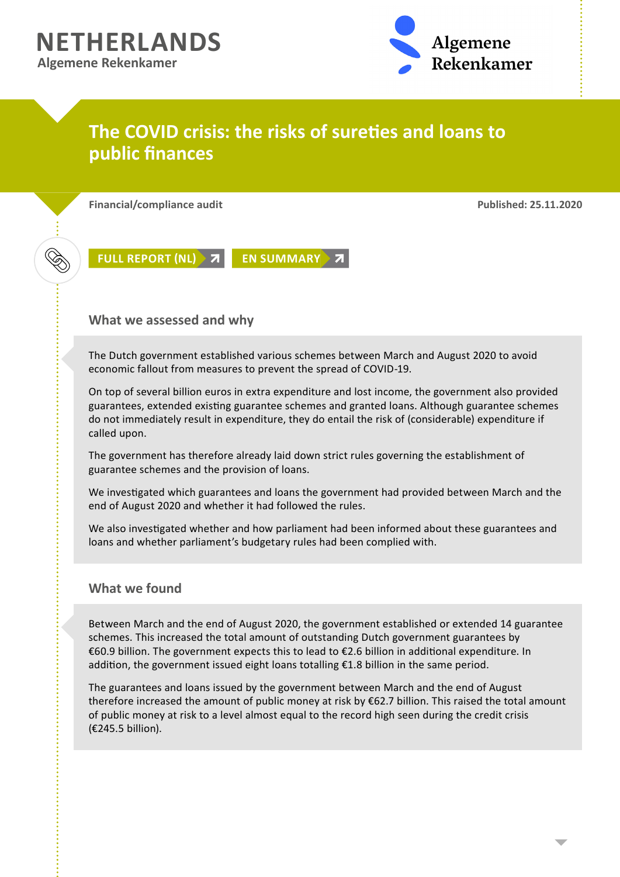

## **The COVID crisis: the risks of sureties and loans to public finances**

**Financial/compliance audit Published: 25.11.2020**



**[FULL REPORT \(NL\)](https://www.rekenkamer.nl/publicaties/rapporten/2020/11/25/coronacrisis-de-risico%E2%80%99s-van-garanties-en-leningen-voor-de-overheidsfinancien) 7 [EN SUMMARY](https://english.rekenkamer.nl/publications/reports/2020/11/25/corona-crisis-the-risks-of-sureties-and-loans-to-public-finances) 7** 

## **What we assessed and why**

The Dutch government established various schemes between March and August 2020 to avoid economic fallout from measures to prevent the spread of COVID-19.

On top of several billion euros in extra expenditure and lost income, the government also provided guarantees, extended existing guarantee schemes and granted loans. Although guarantee schemes do not immediately result in expenditure, they do entail the risk of (considerable) expenditure if called upon.

The government has therefore already laid down strict rules governing the establishment of guarantee schemes and the provision of loans.

We investigated which guarantees and loans the government had provided between March and the end of August 2020 and whether it had followed the rules.

We also investigated whether and how parliament had been informed about these guarantees and loans and whether parliament's budgetary rules had been complied with.

## **What we found**

Between March and the end of August 2020, the government established or extended 14 guarantee schemes. This increased the total amount of outstanding Dutch government guarantees by €60.9 billion. The government expects this to lead to €2.6 billion in additional expenditure. In addition, the government issued eight loans totalling €1.8 billion in the same period.

The guarantees and loans issued by the government between March and the end of August therefore increased the amount of public money at risk by €62.7 billion. This raised the total amount of public money at risk to a level almost equal to the record high seen during the credit crisis (€245.5 billion).